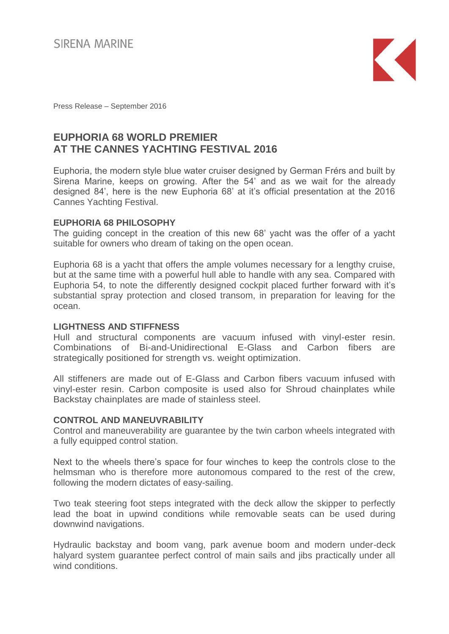

Press Release – September 2016

# **EUPHORIA 68 WORLD PREMIER AT THE CANNES YACHTING FESTIVAL 2016**

Euphoria, the modern style blue water cruiser designed by German Frérs and built by Sirena Marine, keeps on growing. After the 54' and as we wait for the already designed 84', here is the new Euphoria 68' at it's official presentation at the 2016 Cannes Yachting Festival.

# **EUPHORIA 68 PHILOSOPHY**

The guiding concept in the creation of this new 68' yacht was the offer of a yacht suitable for owners who dream of taking on the open ocean.

Euphoria 68 is a yacht that offers the ample volumes necessary for a lengthy cruise, but at the same time with a powerful hull able to handle with any sea. Compared with Euphoria 54, to note the differently designed cockpit placed further forward with it's substantial spray protection and closed transom, in preparation for leaving for the ocean.

# **LIGHTNESS AND STIFFNESS**

Hull and structural components are vacuum infused with vinyl-ester resin. Combinations of Bi-and-Unidirectional E-Glass and Carbon fibers are strategically positioned for strength vs. weight optimization.

All stiffeners are made out of E-Glass and Carbon fibers vacuum infused with vinyl-ester resin. Carbon composite is used also for Shroud chainplates while Backstay chainplates are made of stainless steel.

## **CONTROL AND MANEUVRABILITY**

Control and maneuverability are guarantee by the twin carbon wheels integrated with a fully equipped control station.

Next to the wheels there's space for four winches to keep the controls close to the helmsman who is therefore more autonomous compared to the rest of the crew, following the modern dictates of easy-sailing.

Two teak steering foot steps integrated with the deck allow the skipper to perfectly lead the boat in upwind conditions while removable seats can be used during downwind navigations.

Hydraulic backstay and boom vang, park avenue boom and modern under-deck halyard system guarantee perfect control of main sails and jibs practically under all wind conditions.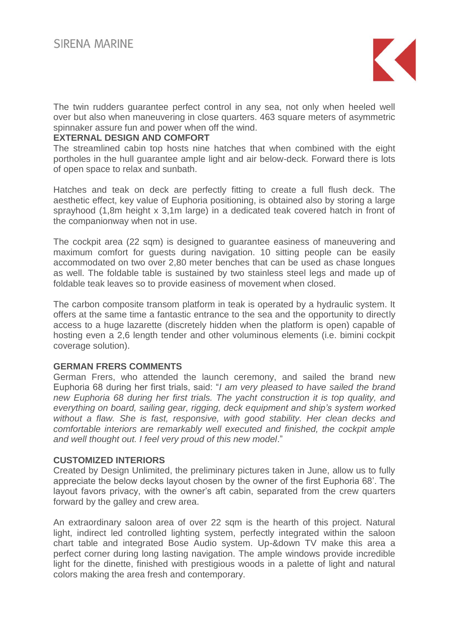

The twin rudders guarantee perfect control in any sea, not only when heeled well over but also when maneuvering in close quarters. 463 square meters of asymmetric spinnaker assure fun and power when off the wind.

## **EXTERNAL DESIGN AND COMFORT**

The streamlined cabin top hosts nine hatches that when combined with the eight portholes in the hull guarantee ample light and air below-deck. Forward there is lots of open space to relax and sunbath.

Hatches and teak on deck are perfectly fitting to create a full flush deck. The aesthetic effect, key value of Euphoria positioning, is obtained also by storing a large sprayhood (1,8m height x 3,1m large) in a dedicated teak covered hatch in front of the companionway when not in use.

The cockpit area (22 sqm) is designed to guarantee easiness of maneuvering and maximum comfort for guests during navigation. 10 sitting people can be easily accommodated on two over 2,80 meter benches that can be used as chase longues as well. The foldable table is sustained by two stainless steel legs and made up of foldable teak leaves so to provide easiness of movement when closed.

The carbon composite transom platform in teak is operated by a hydraulic system. It offers at the same time a fantastic entrance to the sea and the opportunity to directly access to a huge lazarette (discretely hidden when the platform is open) capable of hosting even a 2,6 length tender and other voluminous elements (i.e. bimini cockpit coverage solution).

# **GERMAN FRERS COMMENTS**

German Frers, who attended the launch ceremony, and sailed the brand new Euphoria 68 during her first trials, said: "*I am very pleased to have sailed the brand new Euphoria 68 during her first trials. The yacht construction it is top quality, and everything on board, sailing gear, rigging, deck equipment and ship's system worked without a flaw. She is fast, responsive, with good stability. Her clean decks and comfortable interiors are remarkably well executed and finished, the cockpit ample and well thought out. I feel very proud of this new model*."

## **CUSTOMIZED INTERIORS**

Created by Design Unlimited, the preliminary pictures taken in June, allow us to fully appreciate the below decks layout chosen by the owner of the first Euphoria 68'. The layout favors privacy, with the owner's aft cabin, separated from the crew quarters forward by the galley and crew area.

An extraordinary saloon area of over 22 sqm is the hearth of this project. Natural light, indirect led controlled lighting system, perfectly integrated within the saloon chart table and integrated Bose Audio system. Up-&down TV make this area a perfect corner during long lasting navigation. The ample windows provide incredible light for the dinette, finished with prestigious woods in a palette of light and natural colors making the area fresh and contemporary.